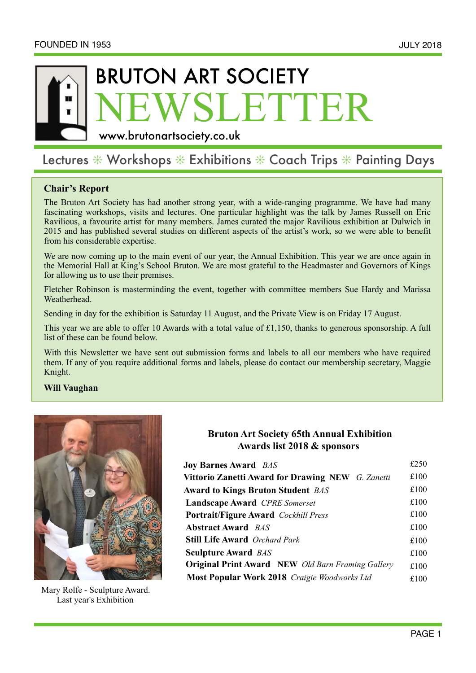# VSLETTER BRUTON ART SOCIETY

[www.brutonartsociety.co.uk](http://www.brutonartsociety.co.uk)

# Lectures  $*$  Workshops  $*$  Exhibitions  $*$  Coach Trips  $*$  Painting Days

## **Chair's Report**

The Bruton Art Society has had another strong year, with a wide-ranging programme. We have had many fascinating workshops, visits and lectures. One particular highlight was the talk by James Russell on Eric Ravilious, a favourite artist for many members. James curated the major Ravilious exhibition at Dulwich in 2015 and has published several studies on different aspects of the artist's work, so we were able to benefit from his considerable expertise.

We are now coming up to the main event of our year, the Annual Exhibition. This year we are once again in the Memorial Hall at King's School Bruton. We are most grateful to the Headmaster and Governors of Kings for allowing us to use their premises.

Fletcher Robinson is masterminding the event, together with committee members Sue Hardy and Marissa Weatherhead.

Sending in day for the exhibition is Saturday 11 August, and the Private View is on Friday 17 August.

 This year we are able to offer 10 Awards with a total value of £1,150, thanks to generous sponsorship. A full list of these can be found below.

With this Newsletter we have sent out submission forms and labels to all our members who have required them. If any of you require additional forms and labels, please do contact our membership secretary, Maggie Knight.

#### **Will Vaughan**



 Mary Rolfe - Sculpture Award. Last year's Exhibition

# **Bruton Art Society 65th Annual Exhibition Awards list 2018 & sponsors**

| <b>Joy Barnes Award BAS</b>                              | £250 |
|----------------------------------------------------------|------|
| <b>Vittorio Zanetti Award for Drawing NEW</b> G. Zanetti | £100 |
| <b>Award to Kings Bruton Student BAS</b>                 | £100 |
| <b>Landscape Award</b> CPRE Somerset                     | £100 |
| <b>Portrait/Figure Award</b> Cockhill Press              | £100 |
| <b>Abstract Award BAS</b>                                | £100 |
| <b>Still Life Award</b> Orchard Park                     | £100 |
| <b>Sculpture Award BAS</b>                               | £100 |
| <b>Original Print Award</b> NEW Old Barn Framing Gallery | £100 |
| Most Popular Work 2018 Craigie Woodworks Ltd             | £100 |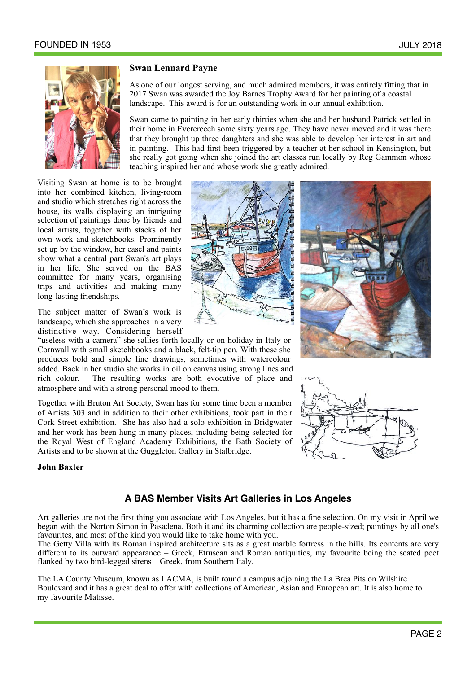

#### **Swan Lennard Payne**

As one of our longest serving, and much admired members, it was entirely fitting that in 2017 Swan was awarded the Joy Barnes Trophy Award for her painting of a coastal landscape. This award is for an outstanding work in our annual exhibition.

Swan came to painting in her early thirties when she and her husband Patrick settled in their home in Evercreech some sixty years ago. They have never moved and it was there that they brought up three daughters and she was able to develop her interest in art and in painting. This had first been triggered by a teacher at her school in Kensington, but she really got going when she joined the art classes run locally by Reg Gammon whose teaching inspired her and whose work she greatly admired.

Visiting Swan at home is to be brought into her combined kitchen, living-room and studio which stretches right across the house, its walls displaying an intriguing selection of paintings done by friends and local artists, together with stacks of her own work and sketchbooks. Prominently set up by the window, her easel and paints show what a central part Swan's art plays in her life. She served on the BAS committee for many years, organising trips and activities and making many long-lasting friendships.

The subject matter of Swan's work is landscape, which she approaches in a very distinctive way. Considering herself

"useless with a camera" she sallies forth locally or on holiday in Italy or Cornwall with small sketchbooks and a black, felt-tip pen. With these she produces bold and simple line drawings, sometimes with watercolour added. Back in her studio she works in oil on canvas using strong lines and rich colour. The resulting works are both evocative of place and atmosphere and with a strong personal mood to them.

Together with Bruton Art Society, Swan has for some time been a member of Artists 303 and in addition to their other exhibitions, took part in their Cork Street exhibition. She has also had a solo exhibition in Bridgwater and her work has been hung in many places, including being selected for the Royal West of England Academy Exhibitions, the Bath Society of Artists and to be shown at the Guggleton Gallery in Stalbridge.

#### **John Baxter**







### **A BAS Member Visits Art Galleries in Los Angeles**

Art galleries are not the first thing you associate with Los Angeles, but it has a fine selection. On my visit in April we began with the Norton Simon in Pasadena. Both it and its charming collection are people-sized; paintings by all one's favourites, and most of the kind you would like to take home with you.

The Getty Villa with its Roman inspired architecture sits as a great marble fortress in the hills. Its contents are very different to its outward appearance – Greek, Etruscan and Roman antiquities, my favourite being the seated poet flanked by two bird-legged sirens – Greek, from Southern Italy.

The LA County Museum, known as LACMA, is built round a campus adjoining the La Brea Pits on Wilshire Boulevard and it has a great deal to offer with collections of American, Asian and European art. It is also home to my favourite Matisse.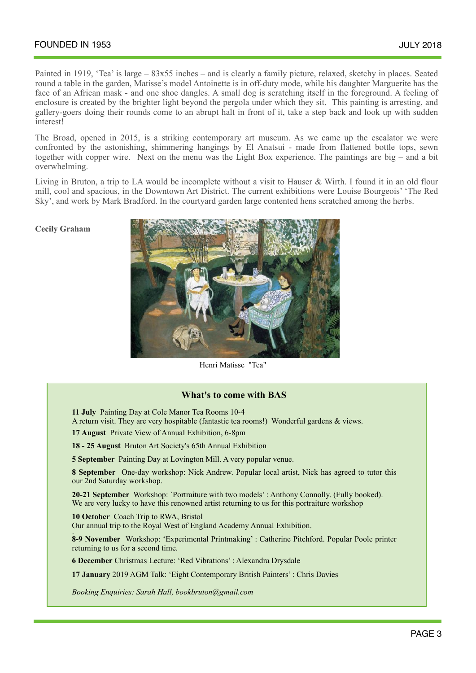Painted in 1919, 'Tea' is large – 83x55 inches – and is clearly a family picture, relaxed, sketchy in places. Seated round a table in the garden, Matisse's model Antoinette is in off-duty mode, while his daughter Marguerite has the face of an African mask - and one shoe dangles. A small dog is scratching itself in the foreground. A feeling of enclosure is created by the brighter light beyond the pergola under which they sit. This painting is arresting, and gallery-goers doing their rounds come to an abrupt halt in front of it, take a step back and look up with sudden interest!

The Broad, opened in 2015, is a striking contemporary art museum. As we came up the escalator we were confronted by the astonishing, shimmering hangings by El Anatsui - made from flattened bottle tops, sewn together with copper wire. Next on the menu was the Light Box experience. The paintings are big – and a bit overwhelming.

 Living in Bruton, a trip to LA would be incomplete without a visit to Hauser & Wirth. I found it in an old flour mill, cool and spacious, in the Downtown Art District. The current exhibitions were Louise Bourgeois' 'The Red Sky', and work by Mark Bradford. In the courtyard garden large contented hens scratched among the herbs.

**Cecily Graham**



Henri Matisse "Tea"

#### **What's to come with BAS**

 **11 July** Painting Day at Cole Manor Tea Rooms 10-4

A return visit. They are very hospitable (fantastic tea rooms!) Wonderful gardens & views.

**17 August** Private View of Annual Exhibition, 6-8pm

**18 - 25 August** Bruton Art Society's 65th Annual Exhibition

**5 September** Painting Day at Lovington Mill. A very popular venue.

**8 September** One-day workshop: Nick Andrew. Popular local artist, Nick has agreed to tutor this our 2nd Saturday workshop.

**20-21 September** Workshop: `Portraiture with two models' : Anthony Connolly. (Fully booked). We are very lucky to have this renowned artist returning to us for this portraiture workshop

**10 October** Coach Trip to RWA, Bristol Our annual trip to the Royal West of England Academy Annual Exhibition.

: **8-9 November** Workshop: 'Experimental Printmaking' : Catherine Pitchford. Popular Poole printer returning to us for a second time.

**6 December** Christmas Lecture: 'Red Vibrations' : Alexandra Drysdale

**17 January** 2019 AGM Talk: 'Eight Contemporary British Painters' : Chris Davies

*Booking Enquiries: Sarah Hall, [bookbruton@gmail.com](mailto:bookbruton@gmail.com)*